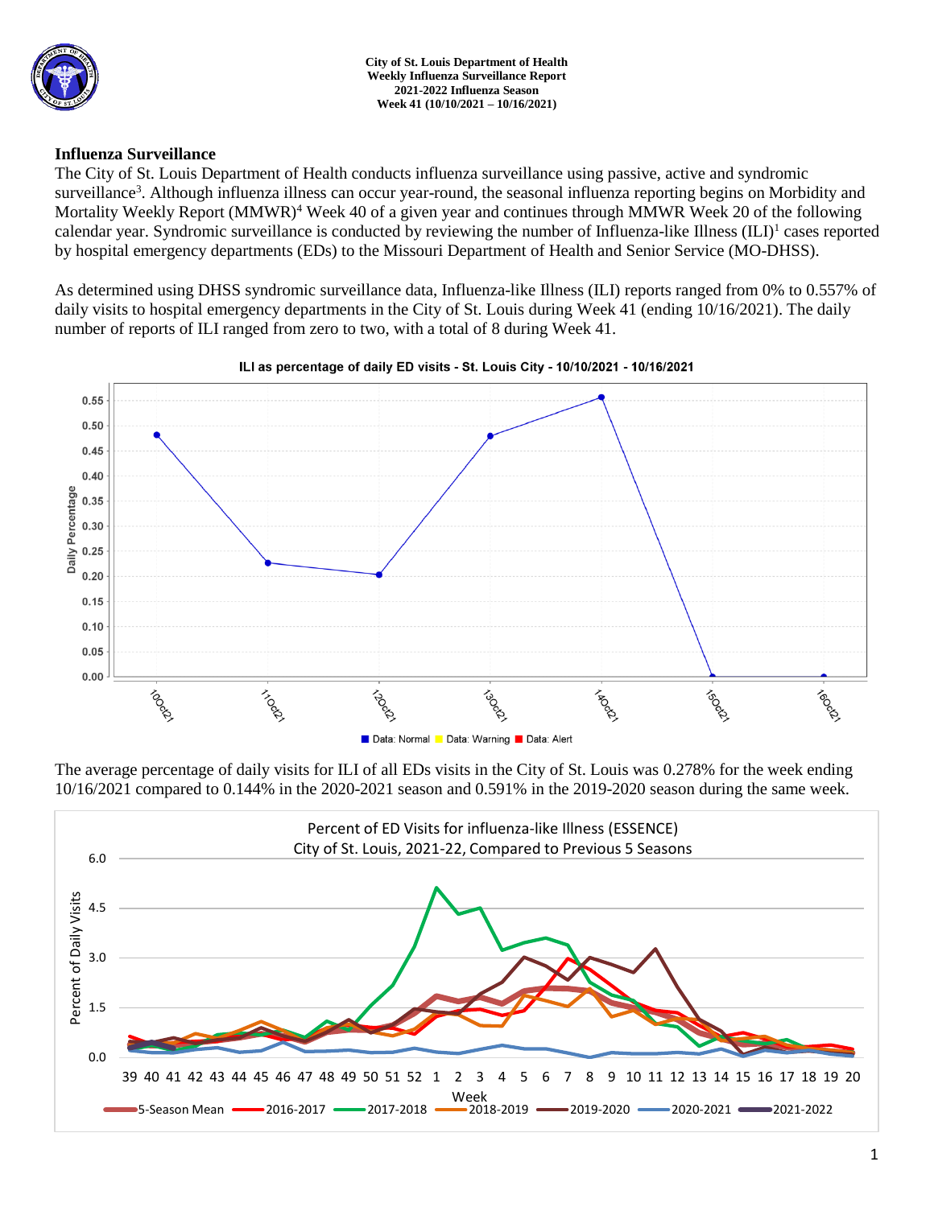

# **Influenza Surveillance**

The City of St. Louis Department of Health conducts influenza surveillance using passive, active and syndromic surveillance<sup>3</sup>. Although influenza illness can occur year-round, the seasonal influenza reporting begins on Morbidity and Mortality Weekly Report (MMWR)<sup>4</sup> Week 40 of a given year and continues through MMWR Week 20 of the following calendar year. Syndromic surveillance is conducted by reviewing the number of Influenza-like Illness (ILI)<sup>1</sup> cases reported by hospital emergency departments (EDs) to the Missouri Department of Health and Senior Service (MO-DHSS).

As determined using DHSS syndromic surveillance data, Influenza-like Illness (ILI) reports ranged from 0% to 0.557% of daily visits to hospital emergency departments in the City of St. Louis during Week 41 (ending 10/16/2021). The daily number of reports of ILI ranged from zero to two, with a total of 8 during Week 41.



### ILI as percentage of daily ED visits - St. Louis City - 10/10/2021 - 10/16/2021

The average percentage of daily visits for ILI of all EDs visits in the City of St. Louis was 0.278% for the week ending 10/16/2021 compared to 0.144% in the 2020-2021 season and 0.591% in the 2019-2020 season during the same week.

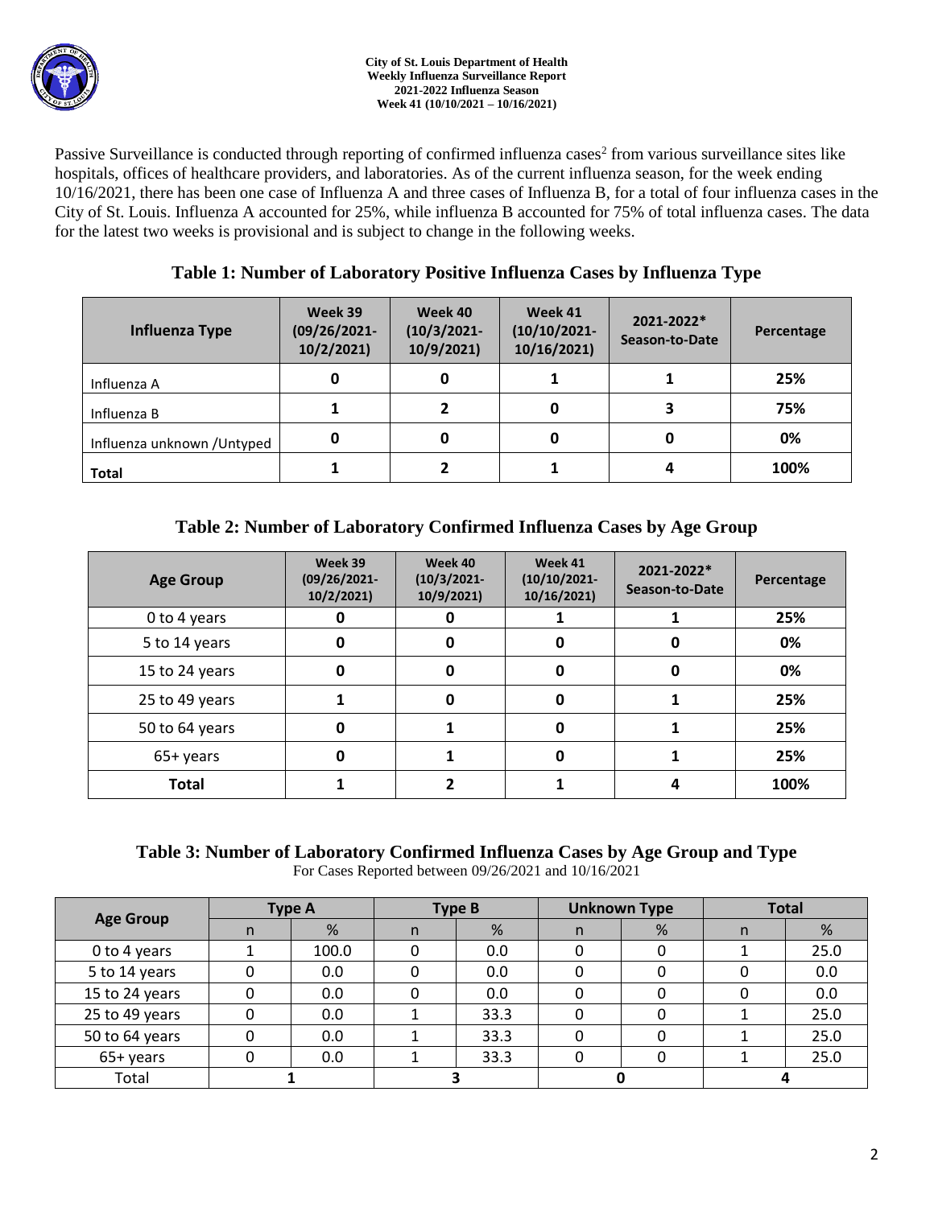

Passive Surveillance is conducted through reporting of confirmed influenza cases<sup>2</sup> from various surveillance sites like hospitals, offices of healthcare providers, and laboratories. As of the current influenza season, for the week ending 10/16/2021, there has been one case of Influenza A and three cases of Influenza B, for a total of four influenza cases in the City of St. Louis. Influenza A accounted for 25%, while influenza B accounted for 75% of total influenza cases. The data for the latest two weeks is provisional and is subject to change in the following weeks.

# **Table 1: Number of Laboratory Positive Influenza Cases by Influenza Type**

| Influenza Type              | Week 39<br>$(09/26/2021 -$<br>10/2/2021 | Week 40<br>$(10/3/2021 -$<br>10/9/2021 | Week 41<br>$(10/10/2021 -$<br>10/16/2021) | 2021-2022*<br>Season-to-Date | Percentage |  |
|-----------------------------|-----------------------------------------|----------------------------------------|-------------------------------------------|------------------------------|------------|--|
| Influenza A                 | 0                                       |                                        |                                           |                              | 25%        |  |
| Influenza B                 |                                         |                                        | 0                                         |                              | 75%        |  |
| Influenza unknown / Untyped | 0                                       |                                        | 0                                         | 0                            | 0%         |  |
| <b>Total</b>                |                                         |                                        |                                           |                              | 100%       |  |

# **Table 2: Number of Laboratory Confirmed Influenza Cases by Age Group**

| <b>Age Group</b> | Week 39<br>$(09/26/2021 -$<br>10/2/2021 | Week 40<br>$(10/3/2021 -$<br>10/9/2021 | Week 41<br>$(10/10/2021 -$<br>10/16/2021) | 2021-2022*<br>Season-to-Date | Percentage |
|------------------|-----------------------------------------|----------------------------------------|-------------------------------------------|------------------------------|------------|
| 0 to 4 years     |                                         |                                        |                                           |                              | 25%        |
| 5 to 14 years    | 0                                       | 0<br>0                                 |                                           | 0                            | 0%         |
| 15 to 24 years   | 0                                       | O                                      | 0                                         | 0                            | 0%         |
| 25 to 49 years   |                                         | 0                                      | 0                                         |                              | 25%        |
| 50 to 64 years   | $\mathbf 0$                             |                                        | 0                                         |                              | 25%        |
| 65+ years        | O                                       |                                        | 0                                         |                              | 25%        |
| <b>Total</b>     |                                         |                                        |                                           | 4                            | 100%       |

# **Table 3: Number of Laboratory Confirmed Influenza Cases by Age Group and Type**

For Cases Reported between 09/26/2021 and 10/16/2021

| <b>Age Group</b> | <b>Type A</b> |       | <b>Type B</b> |      | <b>Unknown Type</b> |   | <b>Total</b> |      |
|------------------|---------------|-------|---------------|------|---------------------|---|--------------|------|
|                  | n.            | %     | n             | %    | n                   | % | n            | %    |
| 0 to 4 years     |               | 100.0 |               | 0.0  |                     |   |              | 25.0 |
| 5 to 14 years    |               | 0.0   |               | 0.0  |                     |   |              | 0.0  |
| 15 to 24 years   |               | 0.0   |               | 0.0  |                     |   |              | 0.0  |
| 25 to 49 years   |               | 0.0   |               | 33.3 |                     | 0 |              | 25.0 |
| 50 to 64 years   |               | 0.0   |               | 33.3 |                     | 0 |              | 25.0 |
| 65+ years        |               | 0.0   |               | 33.3 |                     | 0 |              | 25.0 |
| Total            |               |       |               |      |                     |   |              |      |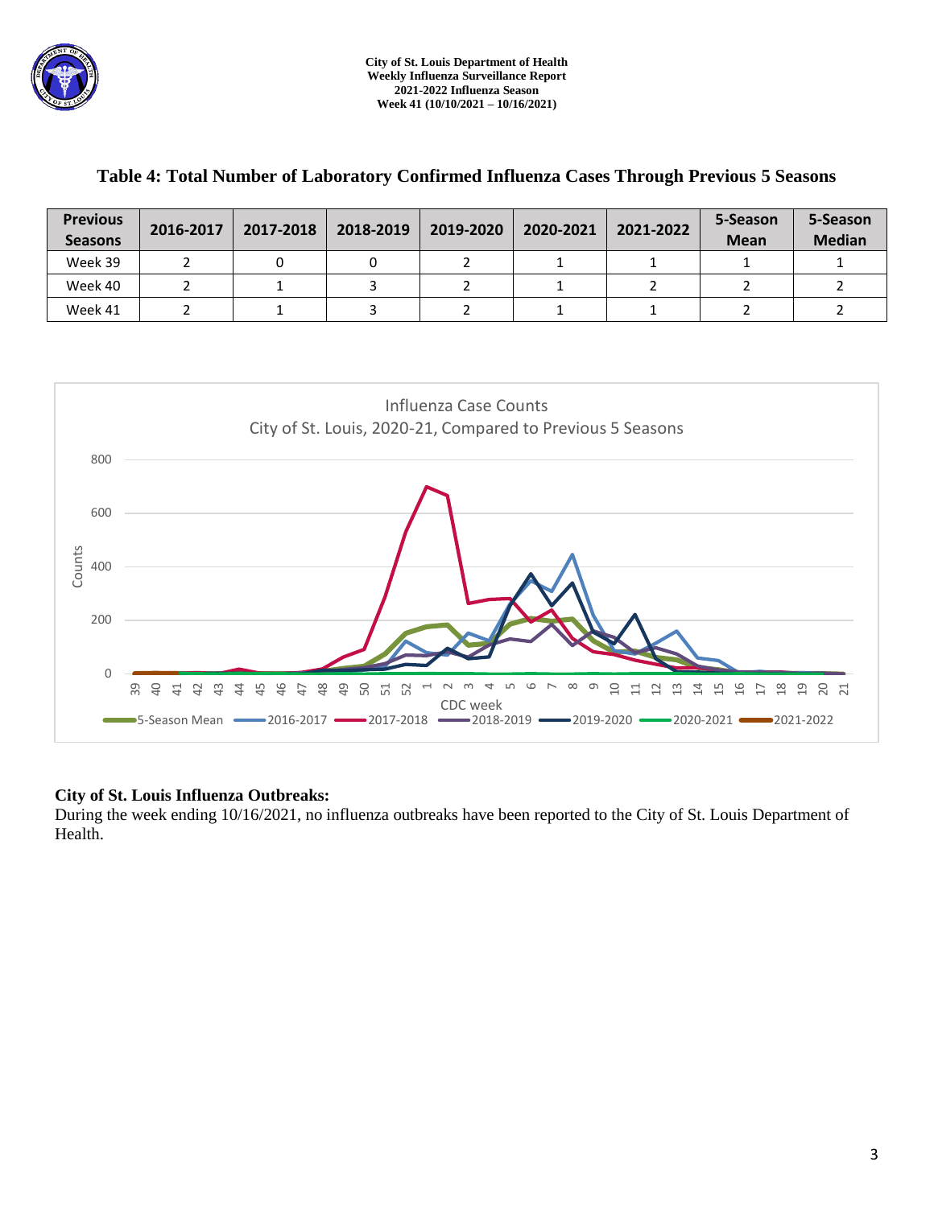

| <b>Previous</b><br><b>Seasons</b> | 2016-2017 | 2017-2018 | 2018-2019 | 2019-2020 | 2020-2021 | 2021-2022 | 5-Season<br><b>Mean</b> | 5-Season<br><b>Median</b> |
|-----------------------------------|-----------|-----------|-----------|-----------|-----------|-----------|-------------------------|---------------------------|
| Week 39                           |           |           |           |           |           |           |                         |                           |
| Week 40                           |           |           |           |           |           |           |                         |                           |
| Week 41                           |           |           |           |           |           |           |                         |                           |

# **Table 4: Total Number of Laboratory Confirmed Influenza Cases Through Previous 5 Seasons**



## **City of St. Louis Influenza Outbreaks:**

During the week ending 10/16/2021, no influenza outbreaks have been reported to the City of St. Louis Department of Health.